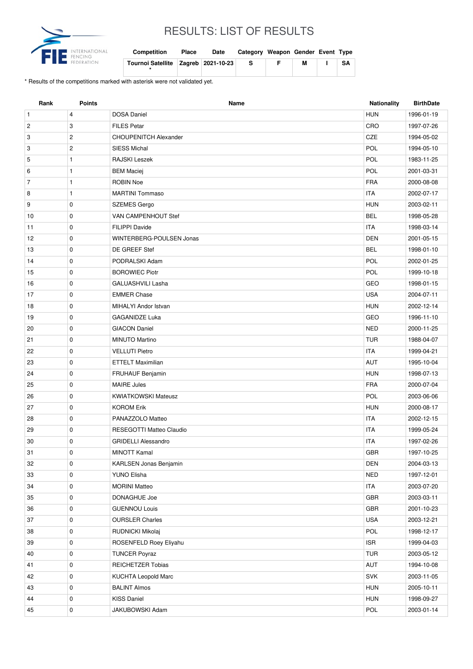

## RESULTS: LIST OF RESULTS

| <b>Competition</b>                      | Place | Date | Category Weapon Gender Event Type |   |   |      |
|-----------------------------------------|-------|------|-----------------------------------|---|---|------|
| Tournoi Satellite   Zagreb   2021-10-23 |       |      | -S                                | E | М | SA I |

\* Results of the competitions marked with asterisk were not validated yet.

| Rank           | <b>Points</b>  | Name                         | Nationality | <b>BirthDate</b> |
|----------------|----------------|------------------------------|-------------|------------------|
| $\mathbf{1}$   | 4              | <b>DOSA Daniel</b>           | <b>HUN</b>  | 1996-01-19       |
| $\overline{c}$ | 3              | <b>FILES Petar</b>           | CRO         | 1997-07-26       |
| 3              | $\overline{c}$ | <b>CHOUPENITCH Alexander</b> | CZE         | 1994-05-02       |
| 3              | $\overline{2}$ | <b>SIESS Michal</b>          | POL         | 1994-05-10       |
| 5              | $\mathbf{1}$   | RAJSKI Leszek                | POL         | 1983-11-25       |
| 6              | 1              | <b>BEM Maciej</b>            | POL         | 2001-03-31       |
| $\overline{7}$ | $\mathbf{1}$   | <b>ROBIN Noe</b>             | <b>FRA</b>  | 2000-08-08       |
| 8              | 1              | <b>MARTINI Tommaso</b>       | <b>ITA</b>  | 2002-07-17       |
| 9              | 0              | <b>SZEMES Gergo</b>          | <b>HUN</b>  | 2003-02-11       |
| 10             | 0              | VAN CAMPENHOUT Stef          | <b>BEL</b>  | 1998-05-28       |
| 11             | $\mathbf 0$    | FILIPPI Davide               | <b>ITA</b>  | 1998-03-14       |
| 12             | 0              | WINTERBERG-POULSEN Jonas     | <b>DEN</b>  | 2001-05-15       |
| 13             | 0              | DE GREEF Stef                | <b>BEL</b>  | 1998-01-10       |
| 14             | $\mathbf 0$    | PODRALSKI Adam               | POL         | 2002-01-25       |
| 15             | 0              | <b>BOROWIEC Piotr</b>        | POL         | 1999-10-18       |
| 16             | 0              | <b>GALUASHVILI Lasha</b>     | GEO         | 1998-01-15       |
| 17             | 0              | <b>EMMER Chase</b>           | <b>USA</b>  | 2004-07-11       |
| 18             | 0              | MIHALYI Andor Istvan         | <b>HUN</b>  | 2002-12-14       |
| 19             | 0              | <b>GAGANIDZE Luka</b>        | GEO         | 1996-11-10       |
| 20             | 0              | <b>GIACON Daniel</b>         | <b>NED</b>  | 2000-11-25       |
| 21             | 0              | <b>MINUTO Martino</b>        | <b>TUR</b>  | 1988-04-07       |
| 22             | 0              | <b>VELLUTI Pietro</b>        | <b>ITA</b>  | 1999-04-21       |
| 23             | $\mathbf 0$    | <b>ETTELT Maximilian</b>     | <b>AUT</b>  | 1995-10-04       |
| 24             | 0              | <b>FRUHAUF Benjamin</b>      | <b>HUN</b>  | 1998-07-13       |
| 25             | $\mathbf 0$    | <b>MAIRE Jules</b>           | <b>FRA</b>  | 2000-07-04       |
| 26             | 0              | <b>KWIATKOWSKI Mateusz</b>   | POL         | 2003-06-06       |
| 27             | 0              | <b>KOROM Erik</b>            | <b>HUN</b>  | 2000-08-17       |
| 28             | 0              | PANAZZOLO Matteo             | <b>ITA</b>  | 2002-12-15       |
| 29             | 0              | RESEGOTTI Matteo Claudio     | <b>ITA</b>  | 1999-05-24       |
| 30             | 0              | <b>GRIDELLI Alessandro</b>   | ITA         | 1997-02-26       |
| 31             | $\pmb{0}$      | MINOTT Kamal                 | GBR         | 1997-10-25       |
| 32             | 0              | KARLSEN Jonas Benjamin       | <b>DEN</b>  | 2004-03-13       |
| 33             | $\mathbf 0$    | YUNO Elisha                  | <b>NED</b>  | 1997-12-01       |
| 34             | 0              | <b>MORINI Matteo</b>         | <b>ITA</b>  | 2003-07-20       |
| 35             | 0              | DONAGHUE Joe                 | GBR         | 2003-03-11       |
| 36             | 0              | <b>GUENNOU Louis</b>         | GBR         | 2001-10-23       |
| 37             | 0              | <b>OURSLER Charles</b>       | <b>USA</b>  | 2003-12-21       |
| 38             | 0              | RUDNICKI Mikolaj             | POL         | 1998-12-17       |
| 39             | $\mathbf 0$    | ROSENFELD Roey Eliyahu       | <b>ISR</b>  | 1999-04-03       |
| 40             | 0              | <b>TUNCER Poyraz</b>         | <b>TUR</b>  | 2003-05-12       |
| 41             | 0              | <b>REICHETZER Tobias</b>     | AUT         | 1994-10-08       |
| 42             | 0              | KUCHTA Leopold Marc          | <b>SVK</b>  | 2003-11-05       |
| 43             | 0              | <b>BALINT Almos</b>          | <b>HUN</b>  | 2005-10-11       |
| 44             | $\mathbf 0$    | <b>KISS Daniel</b>           | <b>HUN</b>  | 1998-09-27       |
| 45             | 0              | JAKUBOWSKI Adam              | POL         | 2003-01-14       |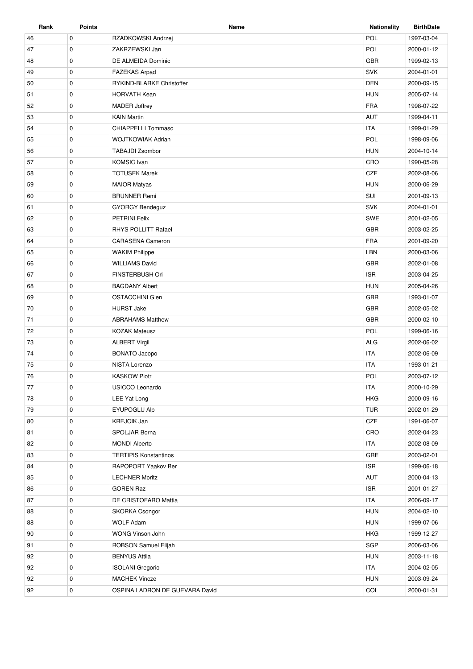| Rank | <b>Points</b> | Name                           | <b>Nationality</b> | <b>BirthDate</b> |
|------|---------------|--------------------------------|--------------------|------------------|
| 46   | $\mathbf 0$   | RZADKOWSKI Andrzej             | POL                | 1997-03-04       |
| 47   | $\mathbf 0$   | ZAKRZEWSKI Jan                 | POL                | 2000-01-12       |
| 48   | 0             | DE ALMEIDA Dominic             | <b>GBR</b>         | 1999-02-13       |
| 49   | $\mathbf 0$   | <b>FAZEKAS Arpad</b>           | <b>SVK</b>         | 2004-01-01       |
| 50   | 0             | RYKIND-BLARKE Christoffer      | <b>DEN</b>         | 2000-09-15       |
| 51   | $\mathbf 0$   | <b>HORVATH Kean</b>            | <b>HUN</b>         | 2005-07-14       |
| 52   | 0             | <b>MADER Joffrey</b>           | <b>FRA</b>         | 1998-07-22       |
| 53   | $\mathbf 0$   | <b>KAIN Martin</b>             | <b>AUT</b>         | 1999-04-11       |
| 54   | 0             | <b>CHIAPPELLI Tommaso</b>      | <b>ITA</b>         | 1999-01-29       |
| 55   | $\mathbf 0$   | <b>WOJTKOWIAK Adrian</b>       | POL                | 1998-09-06       |
| 56   | 0             | <b>TABAJDI Zsombor</b>         | <b>HUN</b>         | 2004-10-14       |
| 57   | $\mathbf 0$   | <b>KOMSIC</b> Ivan             | CRO                | 1990-05-28       |
| 58   | $\mathbf 0$   | <b>TOTUSEK Marek</b>           | CZE                | 2002-08-06       |
| 59   | 0             | <b>MAIOR Matyas</b>            | <b>HUN</b>         | 2000-06-29       |
| 60   | $\mathbf 0$   | <b>BRUNNER Remi</b>            | SUI                | 2001-09-13       |
| 61   | 0             | <b>GYORGY Bendeguz</b>         | <b>SVK</b>         | 2004-01-01       |
| 62   | $\mathbf 0$   | <b>PETRINI Felix</b>           | <b>SWE</b>         | 2001-02-05       |
| 63   | $\mathbf 0$   | <b>RHYS POLLITT Rafael</b>     | <b>GBR</b>         | 2003-02-25       |
| 64   | 0             | <b>CARASENA Cameron</b>        | <b>FRA</b>         | 2001-09-20       |
| 65   | 0             | <b>WAKIM Philippe</b>          | LBN                | 2000-03-06       |
| 66   | $\mathbf 0$   | <b>WILLIAMS David</b>          | <b>GBR</b>         | 2002-01-08       |
| 67   | 0             | FINSTERBUSH Ori                | <b>ISR</b>         | 2003-04-25       |
| 68   | $\mathbf 0$   | <b>BAGDANY Albert</b>          | <b>HUN</b>         | 2005-04-26       |
| 69   | $\mathbf 0$   | <b>OSTACCHINI Glen</b>         | <b>GBR</b>         | 1993-01-07       |
| 70   | 0             | <b>HURST Jake</b>              | <b>GBR</b>         | 2002-05-02       |
| 71   | $\mathbf 0$   | <b>ABRAHAMS Matthew</b>        | <b>GBR</b>         | 2000-02-10       |
| 72   | 0             | <b>KOZAK Mateusz</b>           | POL                | 1999-06-16       |
| 73   | $\mathbf 0$   | <b>ALBERT Virgil</b>           | <b>ALG</b>         | 2002-06-02       |
| 74   | $\mathbf 0$   | <b>BONATO Jacopo</b>           | <b>ITA</b>         | 2002-06-09       |
| 75   | 0             | NISTA Lorenzo                  | <b>ITA</b>         | 1993-01-21       |
| 76   | $\mathbf 0$   | <b>KASKOW Piotr</b>            | POL                | 2003-07-12       |
| 77   | $\mathbf 0$   | USICCO Leonardo                | <b>ITA</b>         | 2000-10-29       |
| 78   | 0             | LEE Yat Long                   | <b>HKG</b>         | 2000-09-16       |
| 79   | 0             | <b>EYUPOGLU Alp</b>            | <b>TUR</b>         | 2002-01-29       |
| 80   | $\mathbf 0$   | <b>KREJCIK Jan</b>             | CZE                | 1991-06-07       |
| 81   | 0             | SPOLJAR Borna                  | CRO                | 2002-04-23       |
| 82   | 0             | <b>MONDI Alberto</b>           | <b>ITA</b>         | 2002-08-09       |
| 83   | 0             | <b>TERTIPIS Konstantinos</b>   | GRE                | 2003-02-01       |
| 84   | $\mathbf 0$   | RAPOPORT Yaakov Ber            | <b>ISR</b>         | 1999-06-18       |
| 85   | 0             | <b>LECHNER Moritz</b>          | AUT                | 2000-04-13       |
| 86   | 0             | <b>GOREN Raz</b>               | <b>ISR</b>         | 2001-01-27       |
| 87   | $\mathbf 0$   | DE CRISTOFARO Mattia           | <b>ITA</b>         | 2006-09-17       |
| 88   | 0             | <b>SKORKA Csongor</b>          | <b>HUN</b>         | 2004-02-10       |
| 88   | 0             | <b>WOLF Adam</b>               | <b>HUN</b>         | 1999-07-06       |
| 90   | $\mathbf 0$   | WONG Vinson John               | <b>HKG</b>         | 1999-12-27       |
| 91   | $\mathbf 0$   | ROBSON Samuel Elijah           | SGP                | 2006-03-06       |
| 92   | 0             | <b>BENYUS Attila</b>           | <b>HUN</b>         | 2003-11-18       |
| 92   | 0             | <b>ISOLANI</b> Gregorio        | <b>ITA</b>         | 2004-02-05       |
| 92   | 0             | <b>MACHEK Vincze</b>           | <b>HUN</b>         | 2003-09-24       |
| 92   | $\mathbf 0$   | OSPINA LADRON DE GUEVARA David | COL                | 2000-01-31       |
|      |               |                                |                    |                  |